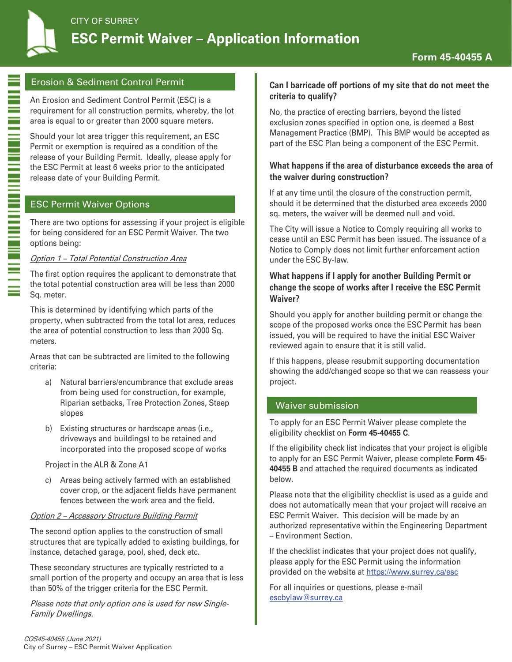

Ē

# Erosion & Sediment Control Permit

An Erosion and Sediment Control Permit (ESC) is a requirement for all construction permits, whereby, the lot area is equal to or greater than 2000 square meters.

Should your lot area trigger this requirement, an ESC Permit or exemption is required as a condition of the release of your Building Permit. Ideally, please apply for the ESC Permit at least 6 weeks prior to the anticipated release date of your Building Permit.

# ESC Permit Waiver Options

There are two options for assessing if your project is eligible for being considered for an ESC Permit Waiver. The two options being:

## Option 1 – Total Potential Construction Area

The first option requires the applicant to demonstrate that the total potential construction area will be less than 2000 Sq. meter.

This is determined by identifying which parts of the property, when subtracted from the total lot area, reduces the area of potential construction to less than 2000 Sq. meters.

Areas that can be subtracted are limited to the following criteria:

- a) Natural barriers/encumbrance that exclude areas from being used for construction, for example, Riparian setbacks, Tree Protection Zones, Steep slopes
- b) Existing structures or hardscape areas (i.e., driveways and buildings) to be retained and incorporated into the proposed scope of works

Project in the ALR & Zone A1

c) Areas being actively farmed with an established cover crop, or the adjacent fields have permanent fences between the work area and the field.

## Option 2 – Accessory Structure Building Permit

The second option applies to the construction of small structures that are typically added to existing buildings, for instance, detached garage, pool, shed, deck etc.

These secondary structures are typically restricted to a small portion of the property and occupy an area that is less than 50% of the trigger criteria for the ESC Permit.

Please note that only option one is used for new Single-Family Dwellings.

## **Can I barricade off portions of my site that do not meet the criteria to qualify?**

No, the practice of erecting barriers, beyond the listed exclusion zones specified in option one, is deemed a Best Management Practice (BMP). This BMP would be accepted as part of the ESC Plan being a component of the ESC Permit.

## **What happens if the area of disturbance exceeds the area of the waiver during construction?**

If at any time until the closure of the construction permit, should it be determined that the disturbed area exceeds 2000 sq. meters, the waiver will be deemed null and void.

The City will issue a Notice to Comply requiring all works to cease until an ESC Permit has been issued. The issuance of a Notice to Comply does not limit further enforcement action under the ESC By-law.

## **What happens if I apply for another Building Permit or change the scope of works after I receive the ESC Permit Waiver?**

Should you apply for another building permit or change the scope of the proposed works once the ESC Permit has been issued, you will be required to have the initial ESC Waiver reviewed again to ensure that it is still valid.

If this happens, please resubmit supporting documentation showing the add/changed scope so that we can reassess your project.

# Waiver submission

To apply for an ESC Permit Waiver please complete the eligibility checklist on **Form 45-40455 C**.

If the eligibility check list indicates that your project is eligible to apply for an ESC Permit Waiver, please complete **Form 45- 40455 B** and attached the required documents as indicated below.

Please note that the eligibility checklist is used as a guide and does not automatically mean that your project will receive an ESC Permit Waiver. This decision will be made by an authorized representative within the Engineering Department – Environment Section.

If the checklist indicates that your project does not qualify, please apply for the ESC Permit using the information provided on the website at https://www.surrey.ca/esc

For all inquiries or questions, please e-mail escbylaw@surrey.ca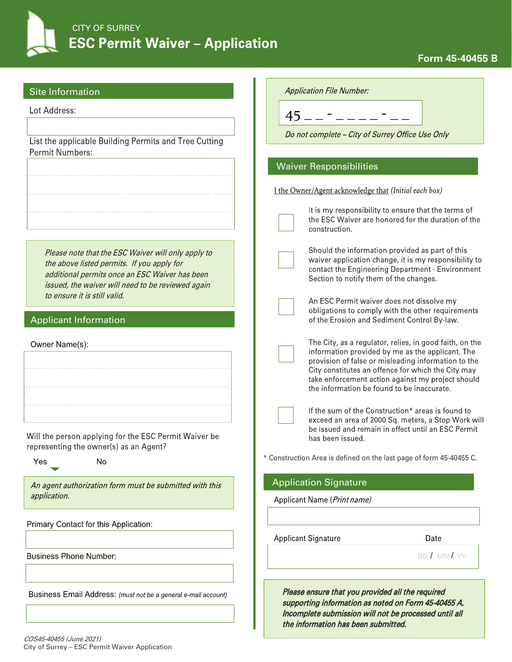

# **Form 45-40455 B**

| Site Information                                                                                                                                                                                                                        | <b>Application File Number:</b>                                                                                                                                                                                                                                                                                             |
|-----------------------------------------------------------------------------------------------------------------------------------------------------------------------------------------------------------------------------------------|-----------------------------------------------------------------------------------------------------------------------------------------------------------------------------------------------------------------------------------------------------------------------------------------------------------------------------|
| Lot Address:                                                                                                                                                                                                                            | $45 - - - - -$                                                                                                                                                                                                                                                                                                              |
|                                                                                                                                                                                                                                         |                                                                                                                                                                                                                                                                                                                             |
| List the applicable Building Permits and Tree Cutting                                                                                                                                                                                   | Do not complete - City of Surrey Office Use Only                                                                                                                                                                                                                                                                            |
| <b>Permit Numbers:</b>                                                                                                                                                                                                                  |                                                                                                                                                                                                                                                                                                                             |
|                                                                                                                                                                                                                                         | <b>Waiver Responsibilities</b>                                                                                                                                                                                                                                                                                              |
|                                                                                                                                                                                                                                         | I the Owner/Agent acknowledge that (Initial each box)                                                                                                                                                                                                                                                                       |
|                                                                                                                                                                                                                                         | It is my responsibility to ensure that the terms of<br>the ESC Waiver are honored for the duration of the<br>construction.                                                                                                                                                                                                  |
| Please note that the ESC Waiver will only apply to<br>the above listed permits. If you apply for<br>additional permits once an ESC Waiver has been<br>issued, the waiver will need to be reviewed again<br>to ensure it is still valid. | Should the information provided as part of this<br>waiver application change, it is my responsibility to<br>contact the Engineering Department - Environment<br>Section to notify them of the changes.                                                                                                                      |
| <b>Applicant Information</b>                                                                                                                                                                                                            | An ESC Permit waiver does not dissolve my<br>obligations to comply with the other requirements<br>of the Erosion and Sediment Control By-law.                                                                                                                                                                               |
| Owner Name(s):                                                                                                                                                                                                                          | The City, as a regulator, relies, in good faith, on the<br>information provided by me as the applicant. The<br>provision of false or misleading information to the<br>City constitutes an offence for which the City may<br>take enforcement action against my project should<br>the information be found to be inaccurate. |
|                                                                                                                                                                                                                                         | If the sum of the Construction* areas is found to<br>exceed an area of 2000 Sq. meters, a Stop Work will<br>be issued and remain in effect until an ESC Permit                                                                                                                                                              |
| Will the person applying for the ESC Permit Waiver be<br>representing the owner(s) as an Agent?                                                                                                                                         | has been issued.                                                                                                                                                                                                                                                                                                            |
| Yes<br>No                                                                                                                                                                                                                               | * Construction Area is defined on the last page of form 45-40455 C.                                                                                                                                                                                                                                                         |
| An agent authorization form must be submitted with this                                                                                                                                                                                 | <b>Application Signature</b>                                                                                                                                                                                                                                                                                                |
| application.                                                                                                                                                                                                                            | Applicant Name (Print name)                                                                                                                                                                                                                                                                                                 |
| Primary Contact for this Application:                                                                                                                                                                                                   |                                                                                                                                                                                                                                                                                                                             |
|                                                                                                                                                                                                                                         | <b>Applicant Signature</b><br>Date                                                                                                                                                                                                                                                                                          |
| <b>Business Phone Number:</b>                                                                                                                                                                                                           | DD / MM / YY                                                                                                                                                                                                                                                                                                                |
| Business Email Address: (must not be a general e-mail account)                                                                                                                                                                          | Please ensure that you provided all the required<br>supporting information as noted on Form 45-40455 A.<br>Incomplete submission will not be processed until all<br>the information has been submitted.                                                                                                                     |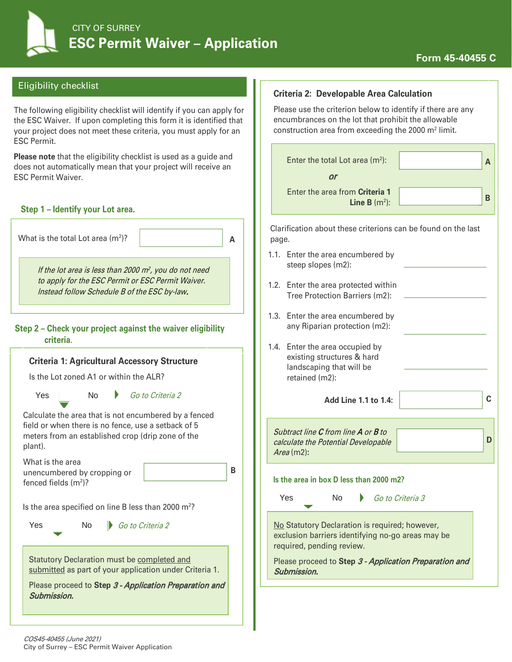**C**

**D** 

## Eligibility checklist

The following eligibility checklist will identify if you can apply for the ESC Waiver. If upon completing this form it is identified that your project does not meet these criteria, you must apply for an ESC Permit.

**Please note** that the eligibility checklist is used as a guide and does not automatically mean that your project will receive an ESC Permit Waiver.

#### **Step 1 – Identify your Lot area.**

**Criteria 1: Agricultural Accessory Structure** Is the Lot zoned A1 or within the ALR? Yes No *Go to Criteria 2* and 11 to 1.4: What is the total Lot area  $(m^2)$ ? )? **A** If the lot area is less than 2000  $m^2$ , you do not need to apply for the ESC Permit or ESC Permit Waiver. Instead follow Schedule B of the ESC by-law. Go to Criteria 2 **Step 2 – Check your project against the waiver eligibility criteria.**

Calculate the area that is not encumbered by a fenced field or when there is no fence, use a setback of 5 meters from an established crop (drip zone of the plant).

What is the area unencumbered by cropping or fenced fields (m2 )?

Is the area specified on line B less than 2000  $m^2$ ?

Yes No Go to Criteria 2

Statutory Declaration must be completed and submitted as part of your application under Criteria 1.

Please proceed to Step 3 - Application Preparation and Submission.

#### **Criteria 2: Developable Area Calculation**

Please use the criterion below to identify if there are any encumbrances on the lot that prohibit the allowable construction area from exceeding the 2000 m2 limit.

| Enter the total Lot area $(m2)$ :                 |  |
|---------------------------------------------------|--|
| or                                                |  |
| Enter the area from Criteria 1<br>Line B $(m2)$ : |  |

Clarification about these criterions can be found on the last page.

- 1.1. Enter the area encumbered by steep slopes (m2):
- 1.2. Enter the area protected within Tree Protection Barriers (m2):
- 1.3. Enter the area encumbered by any Riparian protection (m2):
- 1.4. Enter the area occupied by existing structures & hard landscaping that will be retained (m2):

Subtract line C from line A or B to calculate the Potential Developable Area (m2)**:** 

**B**

# **Is the area in box D less than 2000 m2?**

Yes No Go to Criteria 3

No Statutory Declaration is required; however, exclusion barriers identifying no-go areas may be required, pending review.

Please proceed to Step 3 - Application Preparation and Submission.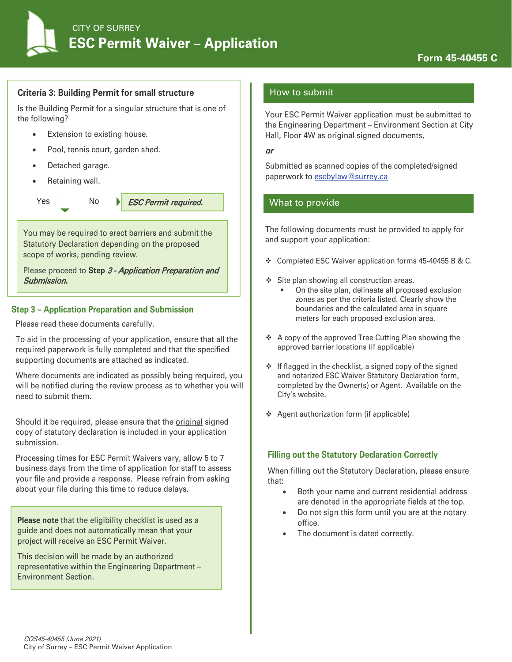

#### **Criteria 3: Building Permit for small structure**

Is the Building Permit for a singular structure that is one of the following?

- Extension to existing house.
- Pool, tennis court, garden shed.
- Detached garage.
- Retaining wall.

Yes No *ESC Permit required.* 

You may be required to erect barriers and submit the Statutory Declaration depending on the proposed scope of works, pending review.

Please proceed to Step 3 - Application Preparation and Submission.

#### **Step 3 – Application Preparation and Submission**

Please read these documents carefully.

To aid in the processing of your application, ensure that all the required paperwork is fully completed and that the specified supporting documents are attached as indicated.

Where documents are indicated as possibly being required, you will be notified during the review process as to whether you will need to submit them.

Should it be required, please ensure that the original signed copy of statutory declaration is included in your application submission.

Processing times for ESC Permit Waivers vary, allow 5 to 7 business days from the time of application for staff to assess your file and provide a response. Please refrain from asking about your file during this time to reduce delays.

**Please note** that the eligibility checklist is used as a guide and does not automatically mean that your project will receive an ESC Permit Waiver.

This decision will be made by an authorized representative within the Engineering Department – Environment Section.

#### How to submit

Your ESC Permit Waiver application must be submitted to the Engineering Department – Environment Section at City Hall, Floor 4W as original signed documents,

#### or

Submitted as scanned copies of the completed/signed paperwork to escbylaw@surrey.ca

# What to provide

The following documents must be provided to apply for and support your application:

- Completed ESC Waiver application forms 45-40455 B & C.
- Site plan showing all construction areas.
	- On the site plan, delineate all proposed exclusion zones as per the criteria listed. Clearly show the boundaries and the calculated area in square meters for each proposed exclusion area.
- A copy of the approved Tree Cutting Plan showing the approved barrier locations (if applicable)
- $\div$  If flagged in the checklist, a signed copy of the signed and notarized ESC Waiver Statutory Declaration form, completed by the Owner(s) or Agent. Available on the City's website.
- Agent authorization form (if applicable)

#### **Filling out the Statutory Declaration Correctly**

When filling out the Statutory Declaration, please ensure that:

- Both your name and current residential address are denoted in the appropriate fields at the top.
- Do not sign this form until you are at the notary office.
- The document is dated correctly.